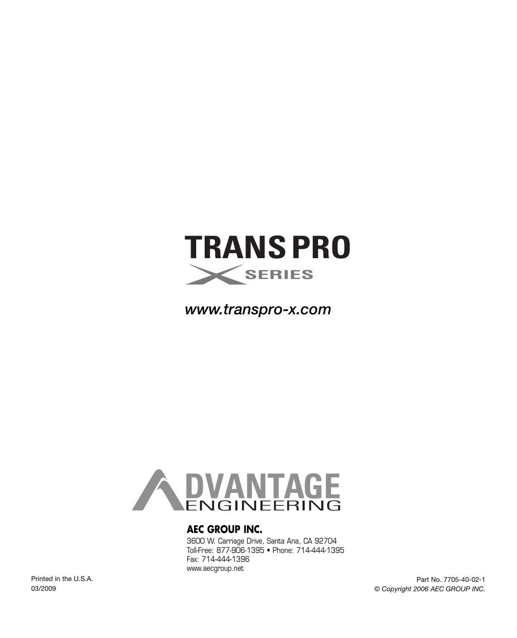

*www.transpro-x.com*



#### **AEC GROUP INC.**

3600 W. Carriage Drive, Santa Ana, CA 92704 Toll-Free: 877-906-1395 • Phone: 714-444-1395 Fax: 714-444-1396 www.aecgroup.net

Printed in the U.S.A. 03/2009

Part No. 7705-40-02-1 *© Copyright 2006 AEC GROUP INC.*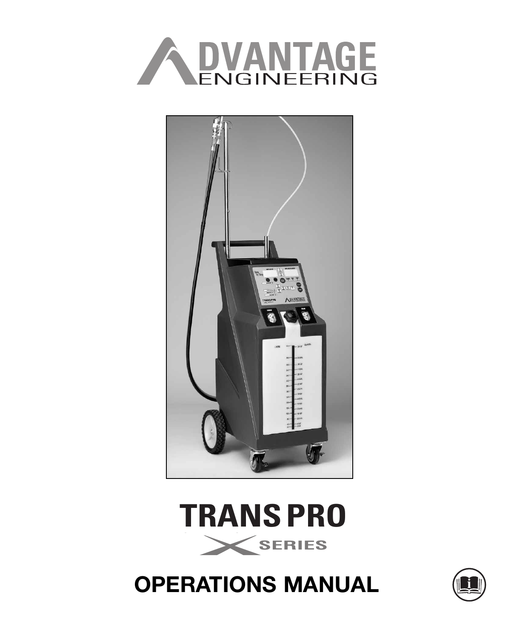





# **OPERATIONS MANUAL**

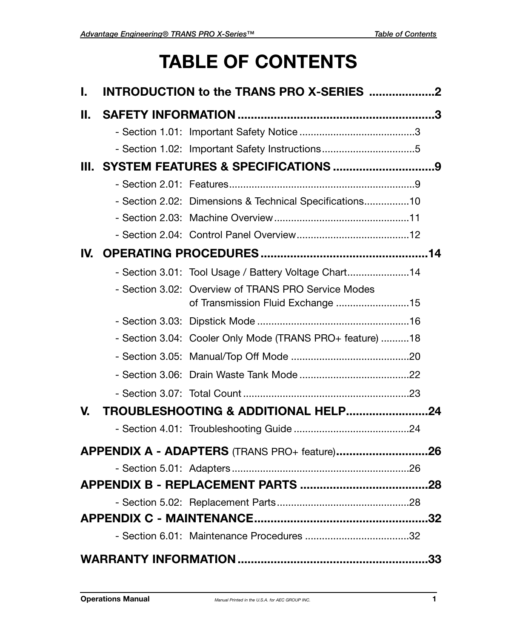# **TABLE OF CONTENTS**

| L. | INTRODUCTION to the TRANS PRO X-SERIES 2                                                 |    |
|----|------------------------------------------------------------------------------------------|----|
| Н. |                                                                                          |    |
|    |                                                                                          |    |
|    | - Section 1.02: Important Safety Instructions5                                           |    |
|    |                                                                                          |    |
|    |                                                                                          |    |
|    | - Section 2.02: Dimensions & Technical Specifications10                                  |    |
|    |                                                                                          |    |
|    |                                                                                          |    |
|    |                                                                                          |    |
|    | - Section 3.01: Tool Usage / Battery Voltage Chart14                                     |    |
|    | - Section 3.02: Overview of TRANS PRO Service Modes<br>of Transmission Fluid Exchange 15 |    |
|    |                                                                                          |    |
|    | - Section 3.04: Cooler Only Mode (TRANS PRO+ feature) 18                                 |    |
|    |                                                                                          |    |
|    |                                                                                          |    |
|    |                                                                                          |    |
| V. | TROUBLESHOOTING & ADDITIONAL HELP24                                                      |    |
|    |                                                                                          |    |
|    | APPENDIX A - ADAPTERS (TRANS PRO+ feature)26                                             |    |
|    |                                                                                          |    |
|    |                                                                                          |    |
|    |                                                                                          |    |
|    |                                                                                          |    |
|    |                                                                                          |    |
|    |                                                                                          | 33 |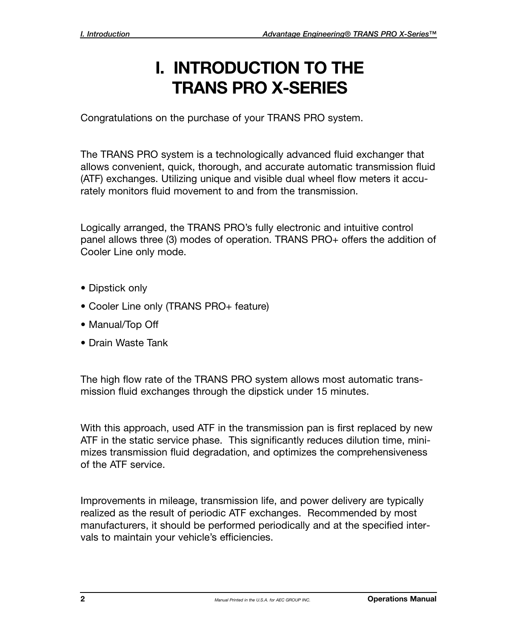## **I. INTRODUCTION TO THE TRANS PRO X-SERIES**

Congratulations on the purchase of your TRANS PRO system.

The TRANS PRO system is a technologically advanced fluid exchanger that allows convenient, quick, thorough, and accurate automatic transmission fluid (ATF) exchanges. Utilizing unique and visible dual wheel flow meters it accurately monitors fluid movement to and from the transmission.

Logically arranged, the TRANS PRO's fully electronic and intuitive control panel allows three (3) modes of operation. TRANS PRO+ offers the addition of Cooler Line only mode.

- Dipstick only
- Cooler Line only (TRANS PRO+ feature)
- Manual/Top Off
- Drain Waste Tank

The high flow rate of the TRANS PRO system allows most automatic transmission fluid exchanges through the dipstick under 15 minutes.

With this approach, used ATF in the transmission pan is first replaced by new ATF in the static service phase. This significantly reduces dilution time, minimizes transmission fluid degradation, and optimizes the comprehensiveness of the ATF service.

Improvements in mileage, transmission life, and power delivery are typically realized as the result of periodic ATF exchanges. Recommended by most manufacturers, it should be performed periodically and at the specified intervals to maintain your vehicle's efficiencies.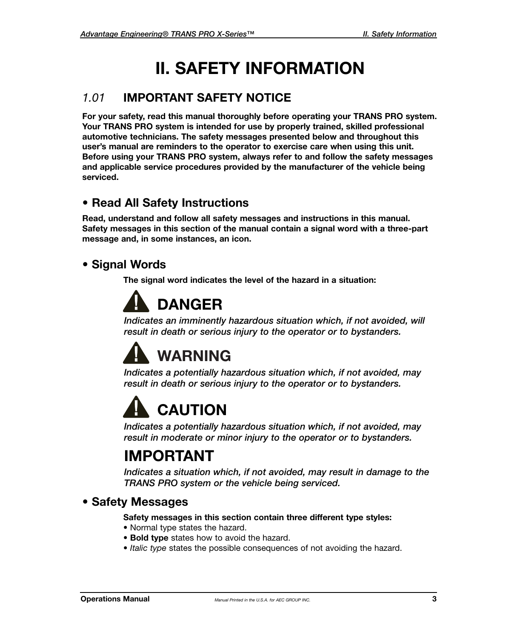# **II. SAFETY INFORMATION**

#### *1.01* **IMPORTANT SAFETY NOTICE**

**For your safety, read this manual thoroughly before operating your TRANS PRO system. Your TRANS PRO system is intended for use by properly trained, skilled professional automotive technicians. The safety messages presented below and throughout this user's manual are reminders to the operator to exercise care when using this unit. Before using your TRANS PRO system, always refer to and follow the safety messages and applicable service procedures provided by the manufacturer of the vehicle being serviced.**

#### **• Read All Safety Instructions**

**Read, understand and follow all safety messages and instructions in this manual. Safety messages in this section of the manual contain a signal word with a three-part message and, in some instances, an icon.**

#### **• Signal Words**

**The signal word indicates the level of the hazard in a situation:**

# **DANGER**

*Indicates an imminently hazardous situation which, if not avoided, will result in death or serious injury to the operator or to bystanders.*

# **WARNING**

*Indicates a potentially hazardous situation which, if not avoided, may result in death or serious injury to the operator or to bystanders.*

# **CAUTION**

*Indicates a potentially hazardous situation which, if not avoided, may result in moderate or minor injury to the operator or to bystanders.*

## **IMPORTANT**

*Indicates a situation which, if not avoided, may result in damage to the TRANS PRO system or the vehicle being serviced.*

#### **• Safety Messages**

#### **Safety messages in this section contain three different type styles:**

- **•** Normal type states the hazard.
- **Bold type** states how to avoid the hazard.
- *Italic type* states the possible consequences of not avoiding the hazard.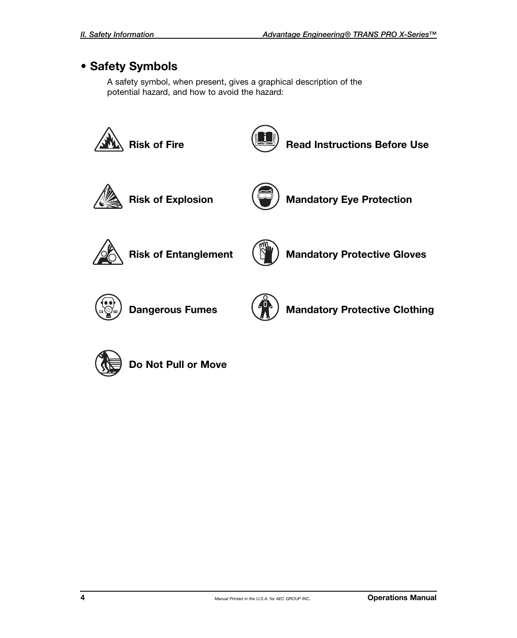#### **• Safety Symbols**

A safety symbol, when present, gives a graphical description of the potential hazard, and how to avoid the hazard:





**Do Not Pull or Move**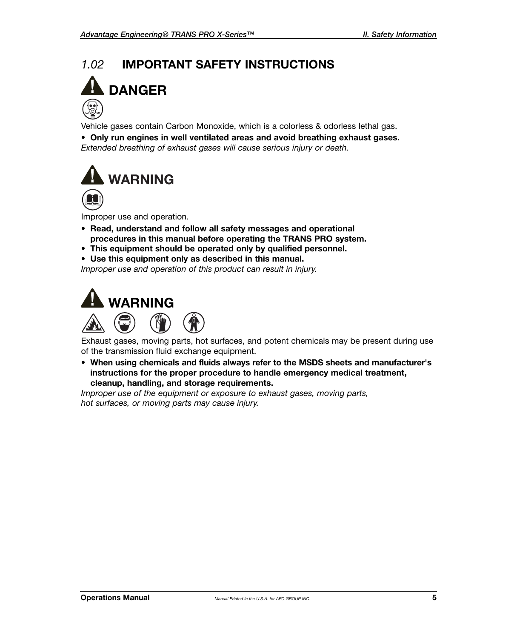# *1.02* **IMPORTANT SAFETY INSTRUCTIONS DANGER**

Vehicle gases contain Carbon Monoxide, which is a colorless & odorless lethal gas.

**• Only run engines in well ventilated areas and avoid breathing exhaust gases.** *Extended breathing of exhaust gases will cause serious injury or death.*



Improper use and operation.

- **Read, understand and follow all safety messages and operational procedures in this manual before operating the TRANS PRO system.**
- **This equipment should be operated only by qualified personnel.**
- **Use this equipment only as described in this manual.**

*Improper use and operation of this product can result in injury.*





Exhaust gases, moving parts, hot surfaces, and potent chemicals may be present during use of the transmission fluid exchange equipment.

**• When using chemicals and fluids always refer to the MSDS sheets and manufacturer's instructions for the proper procedure to handle emergency medical treatment, cleanup, handling, and storage requirements.**

*Improper use of the equipment or exposure to exhaust gases, moving parts, hot surfaces, or moving parts may cause injury.*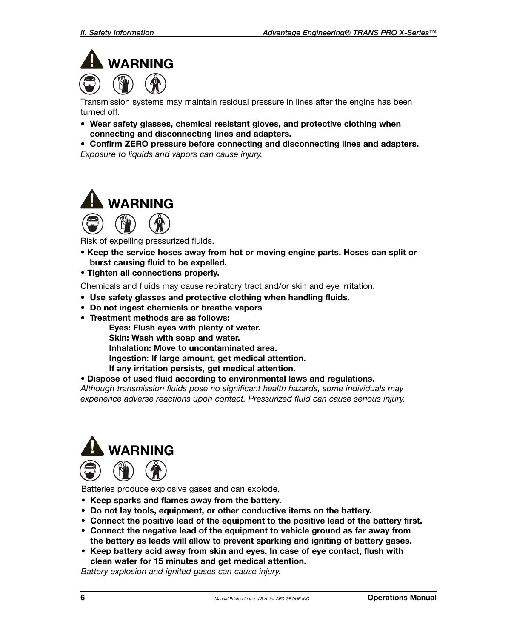

Transmission systems may maintain residual pressure in lines after the engine has been turned off.

- **Wear safety glasses, chemical resistant gloves, and protective clothing when connecting and disconnecting lines and adapters.**
- **Confirm ZERO pressure before connecting and disconnecting lines and adapters.** *Exposure to liquids and vapors can cause injury.*



Risk of expelling pressurized fluids.

- **Keep the service hoses away from hot or moving engine parts. Hoses can split or burst causing fluid to be expelled.**
- **Tighten all connections properly.**

Chemicals and fluids may cause repiratory tract and/or skin and eye irritation.

- **• Use safety glasses and protective clothing when handling fluids.**
- **• Do not ingest chemicals or breathe vapors**
- **Treatment methods are as follows:**

**Eyes: Flush eyes with plenty of water.**

- **Skin: Wash with soap and water.**
- **Inhalation: Move to uncontaminated area.**

**Ingestion: If large amount, get medical attention.**

- **If any irritation persists, get medical attention.**
- **Dispose of used fluid according to environmental laws and regulations.**

*Although transmission fluids pose no significant health hazards, some individuals may experience adverse reactions upon contact. Pressurized fluid can cause serious injury.*



Batteries produce explosive gases and can explode.

- **Keep sparks and flames away from the battery.**
- **Do not lay tools, equipment, or other conductive items on the battery.**
- **Connect the positive lead of the equipment to the positive lead of the battery first.**
- **Connect the negative lead of the equipment to vehicle ground as far away from the battery as leads will allow to prevent sparking and igniting of battery gases.**
- **Keep battery acid away from skin and eyes. In case of eye contact, flush with clean water for 15 minutes and get medical attention.**

*Battery explosion and ignited gases can cause injury.*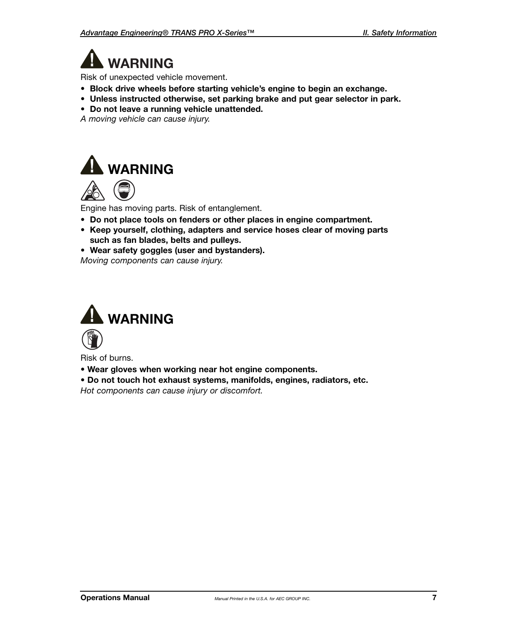**WARNING**

Risk of unexpected vehicle movement.

- **Block drive wheels before starting vehicle's engine to begin an exchange.**
- **Unless instructed otherwise, set parking brake and put gear selector in park.**
- **Do not leave a running vehicle unattended.**

*A moving vehicle can cause injury.*





Engine has moving parts. Risk of entanglement.

- **Do not place tools on fenders or other places in engine compartment.**
- **Keep yourself, clothing, adapters and service hoses clear of moving parts such as fan blades, belts and pulleys.**
- **• Wear safety goggles (user and bystanders).**

*Moving components can cause injury.*



Risk of burns.

- **Wear gloves when working near hot engine components.**
- **Do not touch hot exhaust systems, manifolds, engines, radiators, etc.**

*Hot components can cause injury or discomfort.*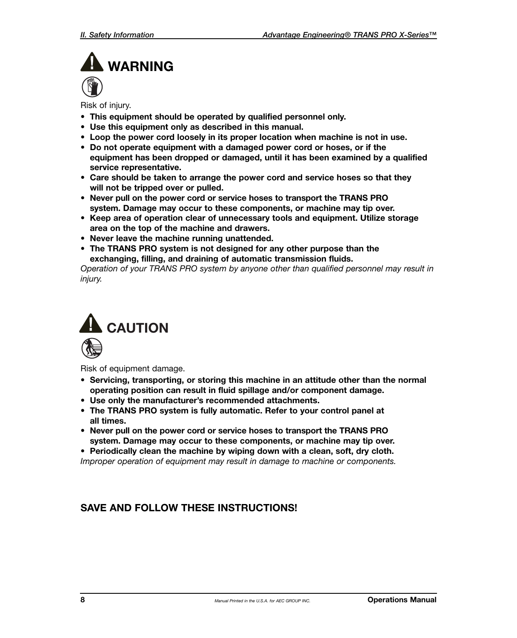# **WARNING**

Risk of injury.

- **This equipment should be operated by qualified personnel only.**
- **Use this equipment only as described in this manual.**
- **Loop the power cord loosely in its proper location when machine is not in use.**
- **Do not operate equipment with a damaged power cord or hoses, or if the equipment has been dropped or damaged, until it has been examined by a qualified service representative.**
- **Care should be taken to arrange the power cord and service hoses so that they will not be tripped over or pulled.**
- **Never pull on the power cord or service hoses to transport the TRANS PRO system. Damage may occur to these components, or machine may tip over.**
- **Keep area of operation clear of unnecessary tools and equipment. Utilize storage area on the top of the machine and drawers.**
- **Never leave the machine running unattended.**
- **The TRANS PRO system is not designed for any other purpose than the exchanging, filling, and draining of automatic transmission fluids.**

*Operation of your TRANS PRO system by anyone other than qualified personnel may result in injury.*



Risk of equipment damage.

- **Servicing, transporting, or storing this machine in an attitude other than the normal operating position can result in fluid spillage and/or component damage.**
- **Use only the manufacturer's recommended attachments.**
- **The TRANS PRO system is fully automatic. Refer to your control panel at all times.**
- **Never pull on the power cord or service hoses to transport the TRANS PRO system. Damage may occur to these components, or machine may tip over.**

**• Periodically clean the machine by wiping down with a clean, soft, dry cloth.**

*Improper operation of equipment may result in damage to machine or components.*

#### **SAVE AND FOLLOW THESE INSTRUCTIONS!**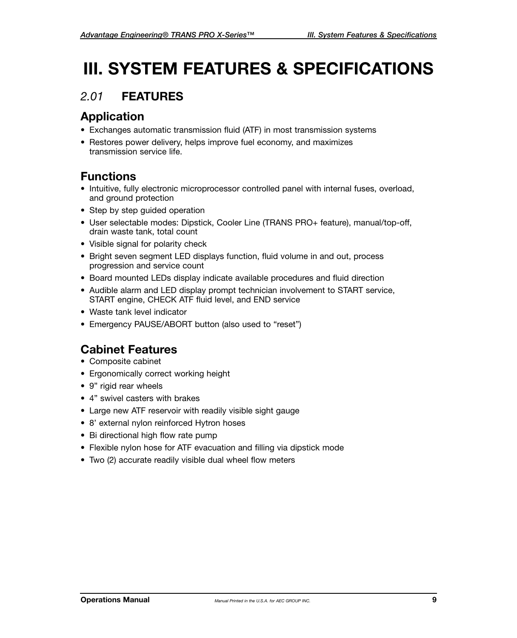# **III. SYSTEM FEATURES & SPECIFICATIONS**

#### *2.01* **FEATURES**

#### **Application**

- Exchanges automatic transmission fluid (ATF) in most transmission systems
- Restores power delivery, helps improve fuel economy, and maximizes transmission service life.

#### **Functions**

- Intuitive, fully electronic microprocessor controlled panel with internal fuses, overload, and ground protection
- Step by step guided operation
- User selectable modes: Dipstick, Cooler Line (TRANS PRO+ feature), manual/top-off, drain waste tank, total count
- Visible signal for polarity check
- Bright seven segment LED displays function, fluid volume in and out, process progression and service count
- Board mounted LEDs display indicate available procedures and fluid direction
- Audible alarm and LED display prompt technician involvement to START service, START engine, CHECK ATF fluid level, and END service
- Waste tank level indicator
- Emergency PAUSE/ABORT button (also used to "reset")

#### **Cabinet Features**

- Composite cabinet
- Ergonomically correct working height
- 9" rigid rear wheels
- 4" swivel casters with brakes
- Large new ATF reservoir with readily visible sight gauge
- 8' external nylon reinforced Hytron hoses
- Bi directional high flow rate pump
- Flexible nylon hose for ATF evacuation and filling via dipstick mode
- Two (2) accurate readily visible dual wheel flow meters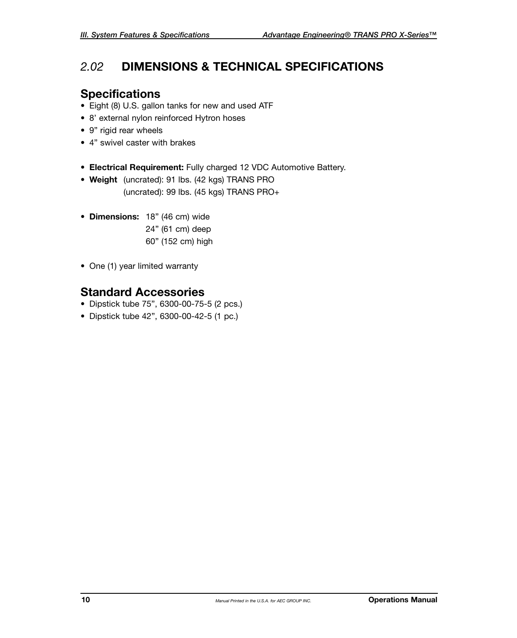#### *2.02* **DIMENSIONS & TECHNICAL SPECIFICATIONS**

#### **Specifications**

- Eight (8) U.S. gallon tanks for new and used ATF
- 8' external nylon reinforced Hytron hoses
- 9" rigid rear wheels
- 4" swivel caster with brakes
- **Electrical Requirement:** Fully charged 12 VDC Automotive Battery.
- **Weight** (uncrated): 91 lbs. (42 kgs) TRANS PRO (uncrated): 99 lbs. (45 kgs) TRANS PRO+
- **Dimensions:** 18" (46 cm) wide 24" (61 cm) deep 60" (152 cm) high
- One (1) year limited warranty

#### **Standard Accessories**

- Dipstick tube 75", 6300-00-75-5 (2 pcs.)
- Dipstick tube 42", 6300-00-42-5 (1 pc.)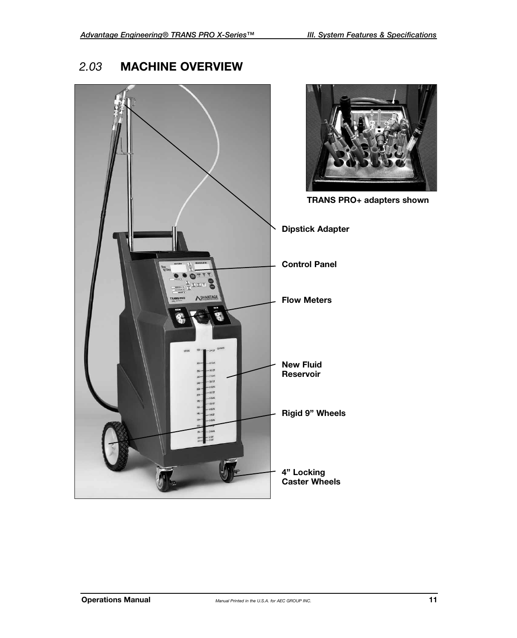#### *2.03* **MACHINE OVERVIEW**

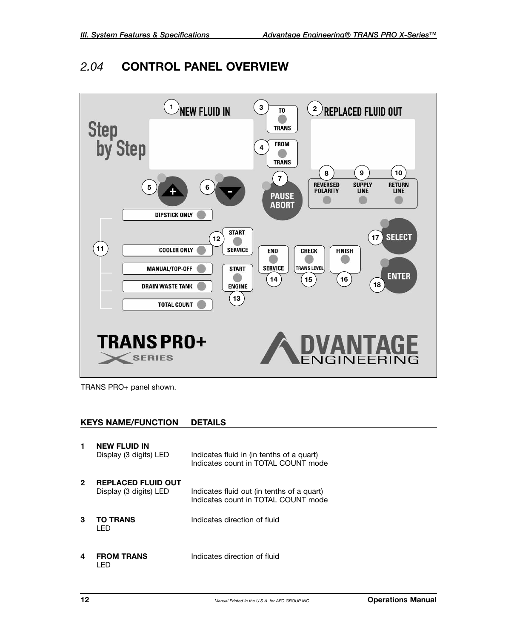#### *2.04* **CONTROL PANEL OVERVIEW**



TRANS PRO+ panel shown.

#### **KEYS NAME/FUNCTION DETAILS**

| 1 | <b>NEW FLUID IN</b><br>Display (3 digits) LED       | Indicates fluid in (in tenths of a quart)<br>Indicates count in TOTAL COUNT mode  |
|---|-----------------------------------------------------|-----------------------------------------------------------------------------------|
| 2 | <b>REPLACED FLUID OUT</b><br>Display (3 digits) LED | Indicates fluid out (in tenths of a quart)<br>Indicates count in TOTAL COUNT mode |
| 3 | <b>TO TRANS</b><br>I FD                             | Indicates direction of fluid                                                      |
| 4 | FROM TRANS                                          | Indicates direction of fluid                                                      |

 **FROM TRANS** Indicates direction of fluid LED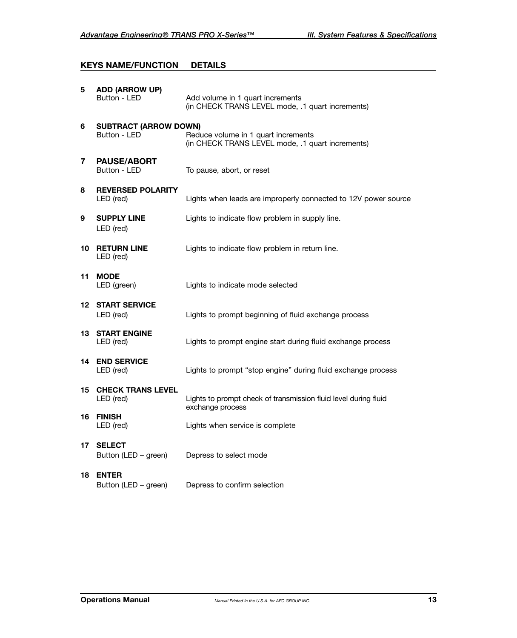#### **KEYS NAME/FUNCTION DETAILS**

| 5  | <b>ADD (ARROW UP)</b><br>Button - LED        | Add volume in 1 quart increments<br>(in CHECK TRANS LEVEL mode, .1 quart increments)    |
|----|----------------------------------------------|-----------------------------------------------------------------------------------------|
| 6  | <b>SUBTRACT (ARROW DOWN)</b><br>Button - LED | Reduce volume in 1 quart increments<br>(in CHECK TRANS LEVEL mode, .1 quart increments) |
| 7  | <b>PAUSE/ABORT</b><br>Button - LED           | To pause, abort, or reset                                                               |
| 8  | <b>REVERSED POLARITY</b><br>LED (red)        | Lights when leads are improperly connected to 12V power source                          |
| 9  | <b>SUPPLY LINE</b><br>LED (red)              | Lights to indicate flow problem in supply line.                                         |
| 10 | <b>RETURN LINE</b><br>LED (red)              | Lights to indicate flow problem in return line.                                         |
| 11 | <b>MODE</b><br>LED (green)                   | Lights to indicate mode selected                                                        |
|    | <b>12 START SERVICE</b><br>LED (red)         | Lights to prompt beginning of fluid exchange process                                    |
| 13 | <b>START ENGINE</b><br>LED (red)             | Lights to prompt engine start during fluid exchange process                             |
| 14 | <b>END SERVICE</b><br>LED (red)              | Lights to prompt "stop engine" during fluid exchange process                            |
| 15 | <b>CHECK TRANS LEVEL</b><br>LED (red)        | Lights to prompt check of transmission fluid level during fluid<br>exchange process     |
| 16 | <b>FINISH</b><br>LED (red)                   | Lights when service is complete                                                         |
| 17 | <b>SELECT</b><br>Button (LED – green)        | Depress to select mode                                                                  |
| 18 | <b>ENTER</b><br>Button (LED – green)         | Depress to confirm selection                                                            |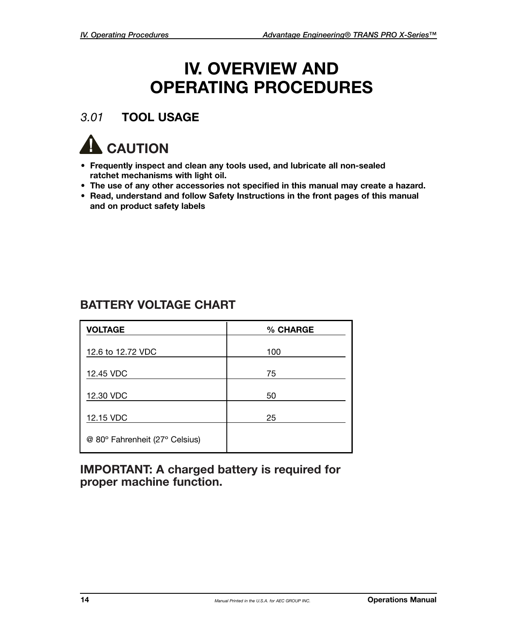## **IV. OVERVIEW AND OPERATING PROCEDURES**

#### *3.01* **TOOL USAGE**



- **Frequently inspect and clean any tools used, and lubricate all non-sealed ratchet mechanisms with light oil.**
- **The use of any other accessories not specified in this manual may create a hazard.**
- **Read, understand and follow Safety Instructions in the front pages of this manual and on product safety labels**

#### **BATTERY VOLTAGE CHART**

| <b>VOLTAGE</b>                 | % CHARGE |
|--------------------------------|----------|
| 12.6 to 12.72 VDC              | 100      |
| 12.45 VDC                      | 75       |
| 12.30 VDC                      | 50       |
| 12.15 VDC                      | 25       |
| @ 80° Fahrenheit (27° Celsius) |          |

**IMPORTANT: A charged battery is required for proper machine function.**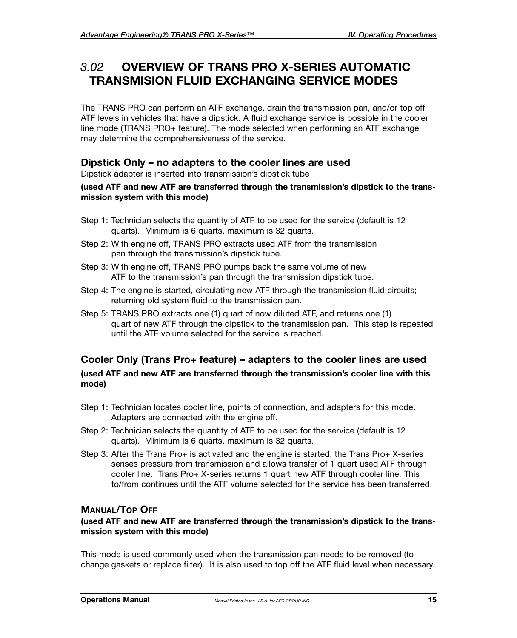#### *3.02* **OVERVIEW OF TRANS PRO X-SERIES AUTOMATIC TRANSMISION FLUID EXCHANGING SERVICE MODES**

The TRANS PRO can perform an ATF exchange, drain the transmission pan, and/or top off ATF levels in vehicles that have a dipstick. A fluid exchange service is possible in the cooler line mode (TRANS PRO+ feature). The mode selected when performing an ATF exchange may determine the comprehensiveness of the service.

#### **Dipstick Only – no adapters to the cooler lines are used**

Dipstick adapter is inserted into transmission's dipstick tube

#### **(used ATF and new ATF are transferred through the transmission's dipstick to the transmission system with this mode)**

- Step 1: Technician selects the quantity of ATF to be used for the service (default is 12 quarts). Minimum is 6 quarts, maximum is 32 quarts.
- Step 2: With engine off, TRANS PRO extracts used ATF from the transmission pan through the transmission's dipstick tube.
- Step 3: With engine off, TRANS PRO pumps back the same volume of new ATF to the transmission's pan through the transmission dipstick tube.
- Step 4: The engine is started, circulating new ATF through the transmission fluid circuits; returning old system fluid to the transmission pan.
- Step 5: TRANS PRO extracts one (1) quart of now diluted ATF, and returns one (1) quart of new ATF through the dipstick to the transmission pan. This step is repeated until the ATF volume selected for the service is reached.

#### **Cooler Only (Trans Pro+ feature) – adapters to the cooler lines are used**

#### **(used ATF and new ATF are transferred through the transmission's cooler line with this mode)**

- Step 1: Technician locates cooler line, points of connection, and adapters for this mode. Adapters are connected with the engine off.
- Step 2: Technician selects the quantity of ATF to be used for the service (default is 12 quarts). Minimum is 6 quarts, maximum is 32 quarts.
- Step 3: After the Trans Pro+ is activated and the engine is started, the Trans Pro+ X-series senses pressure from transmission and allows transfer of 1 quart used ATF through cooler line. Trans Pro+ X-series returns 1 quart new ATF through cooler line. This to/from continues until the ATF volume selected for the service has been transferred.

#### **MANUAL/TOP OFF**

#### **(used ATF and new ATF are transferred through the transmission's dipstick to the transmission system with this mode)**

This mode is used commonly used when the transmission pan needs to be removed (to change gaskets or replace filter). It is also used to top off the ATF fluid level when necessary.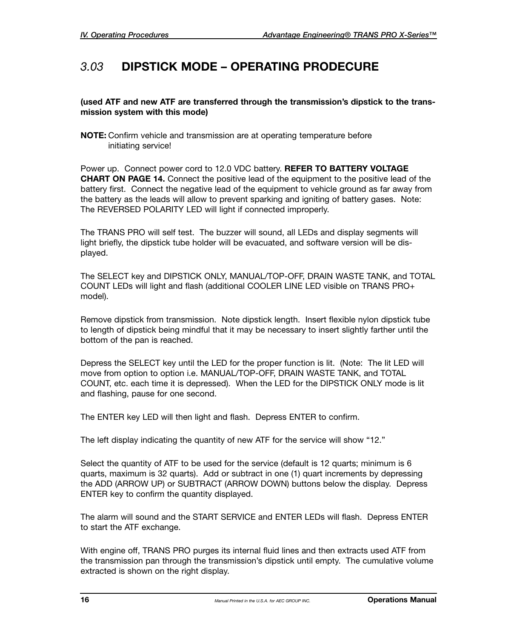#### *3.03* **DIPSTICK MODE – OPERATING PRODECURE**

#### **(used ATF and new ATF are transferred through the transmission's dipstick to the transmission system with this mode)**

**NOTE:** Confirm vehicle and transmission are at operating temperature before initiating service!

Power up. Connect power cord to 12.0 VDC battery. **REFER TO BATTERY VOLTAGE CHART ON PAGE 14.** Connect the positive lead of the equipment to the positive lead of the battery first. Connect the negative lead of the equipment to vehicle ground as far away from the battery as the leads will allow to prevent sparking and igniting of battery gases. Note: The REVERSED POLARITY LED will light if connected improperly.

The TRANS PRO will self test. The buzzer will sound, all LEDs and display segments will light briefly, the dipstick tube holder will be evacuated, and software version will be displayed.

The SELECT key and DIPSTICK ONLY, MANUAL/TOP-OFF, DRAIN WASTE TANK, and TOTAL COUNT LEDs will light and flash (additional COOLER LINE LED visible on TRANS PRO+ model).

Remove dipstick from transmission. Note dipstick length. Insert flexible nylon dipstick tube to length of dipstick being mindful that it may be necessary to insert slightly farther until the bottom of the pan is reached.

Depress the SELECT key until the LED for the proper function is lit. (Note: The lit LED will move from option to option i.e. MANUAL/TOP-OFF, DRAIN WASTE TANK, and TOTAL COUNT, etc. each time it is depressed). When the LED for the DIPSTICK ONLY mode is lit and flashing, pause for one second.

The ENTER key LED will then light and flash. Depress ENTER to confirm.

The left display indicating the quantity of new ATF for the service will show "12."

Select the quantity of ATF to be used for the service (default is 12 quarts; minimum is 6 quarts, maximum is 32 quarts). Add or subtract in one (1) quart increments by depressing the ADD (ARROW UP) or SUBTRACT (ARROW DOWN) buttons below the display. Depress ENTER key to confirm the quantity displayed.

The alarm will sound and the START SERVICE and ENTER LEDs will flash. Depress ENTER to start the ATF exchange.

With engine off, TRANS PRO purges its internal fluid lines and then extracts used ATF from the transmission pan through the transmission's dipstick until empty. The cumulative volume extracted is shown on the right display.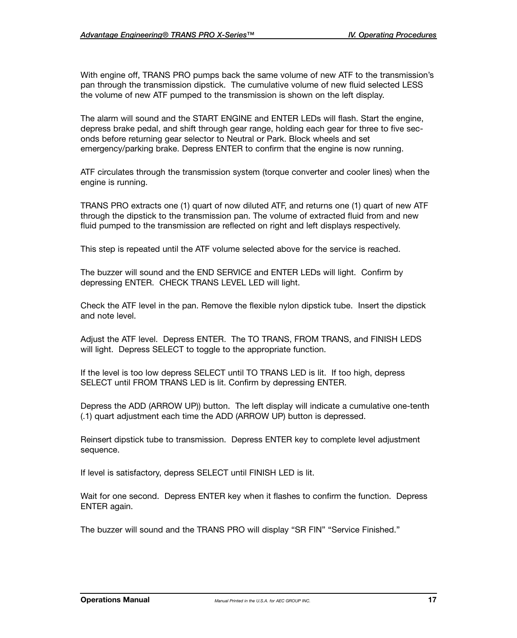With engine off, TRANS PRO pumps back the same volume of new ATF to the transmission's pan through the transmission dipstick. The cumulative volume of new fluid selected LESS the volume of new ATF pumped to the transmission is shown on the left display.

The alarm will sound and the START ENGINE and ENTER LEDs will flash. Start the engine, depress brake pedal, and shift through gear range, holding each gear for three to five seconds before returning gear selector to Neutral or Park. Block wheels and set emergency/parking brake. Depress ENTER to confirm that the engine is now running.

ATF circulates through the transmission system (torque converter and cooler lines) when the engine is running.

TRANS PRO extracts one (1) quart of now diluted ATF, and returns one (1) quart of new ATF through the dipstick to the transmission pan. The volume of extracted fluid from and new fluid pumped to the transmission are reflected on right and left displays respectively.

This step is repeated until the ATF volume selected above for the service is reached.

The buzzer will sound and the END SERVICE and ENTER LEDs will light. Confirm by depressing ENTER. CHECK TRANS LEVEL LED will light.

Check the ATF level in the pan. Remove the flexible nylon dipstick tube. Insert the dipstick and note level.

Adjust the ATF level. Depress ENTER. The TO TRANS, FROM TRANS, and FINISH LEDS will light. Depress SELECT to toggle to the appropriate function.

If the level is too low depress SELECT until TO TRANS LED is lit. If too high, depress SELECT until FROM TRANS LED is lit. Confirm by depressing ENTER.

Depress the ADD (ARROW UP)) button. The left display will indicate a cumulative one-tenth (.1) quart adjustment each time the ADD (ARROW UP) button is depressed.

Reinsert dipstick tube to transmission. Depress ENTER key to complete level adjustment sequence.

If level is satisfactory, depress SELECT until FINISH LED is lit.

Wait for one second. Depress ENTER key when it flashes to confirm the function. Depress ENTER again.

The buzzer will sound and the TRANS PRO will display "SR FIN" "Service Finished."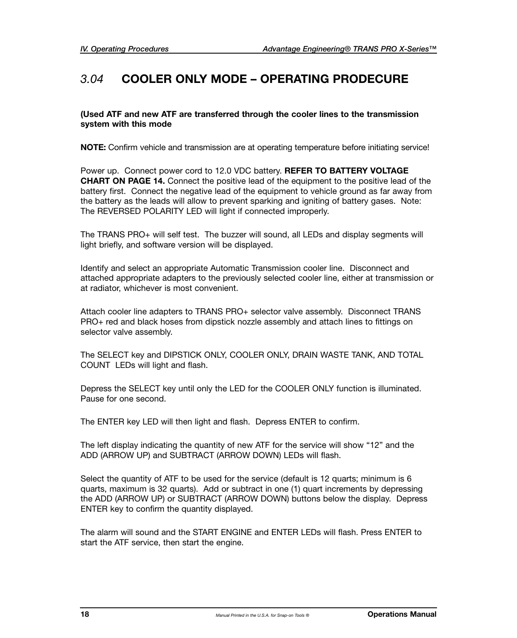#### *3.04* **COOLER ONLY MODE – OPERATING PRODECURE**

**(Used ATF and new ATF are transferred through the cooler lines to the transmission system with this mode**

**NOTE:** Confirm vehicle and transmission are at operating temperature before initiating service!

Power up. Connect power cord to 12.0 VDC battery. **REFER TO BATTERY VOLTAGE CHART ON PAGE 14.** Connect the positive lead of the equipment to the positive lead of the battery first. Connect the negative lead of the equipment to vehicle ground as far away from the battery as the leads will allow to prevent sparking and igniting of battery gases. Note: The REVERSED POLARITY LED will light if connected improperly.

The TRANS PRO+ will self test. The buzzer will sound, all LEDs and display segments will light briefly, and software version will be displayed.

Identify and select an appropriate Automatic Transmission cooler line. Disconnect and attached appropriate adapters to the previously selected cooler line, either at transmission or at radiator, whichever is most convenient.

Attach cooler line adapters to TRANS PRO+ selector valve assembly. Disconnect TRANS PRO+ red and black hoses from dipstick nozzle assembly and attach lines to fittings on selector valve assembly.

The SELECT key and DIPSTICK ONLY, COOLER ONLY, DRAIN WASTE TANK, AND TOTAL COUNT LEDs will light and flash.

Depress the SELECT key until only the LED for the COOLER ONLY function is illuminated. Pause for one second.

The ENTER key LED will then light and flash. Depress ENTER to confirm.

The left display indicating the quantity of new ATF for the service will show "12" and the ADD (ARROW UP) and SUBTRACT (ARROW DOWN) LEDs will flash.

Select the quantity of ATF to be used for the service (default is 12 quarts; minimum is 6 quarts, maximum is 32 quarts). Add or subtract in one (1) quart increments by depressing the ADD (ARROW UP) or SUBTRACT (ARROW DOWN) buttons below the display. Depress ENTER key to confirm the quantity displayed.

The alarm will sound and the START ENGINE and ENTER LEDs will flash. Press ENTER to start the ATF service, then start the engine.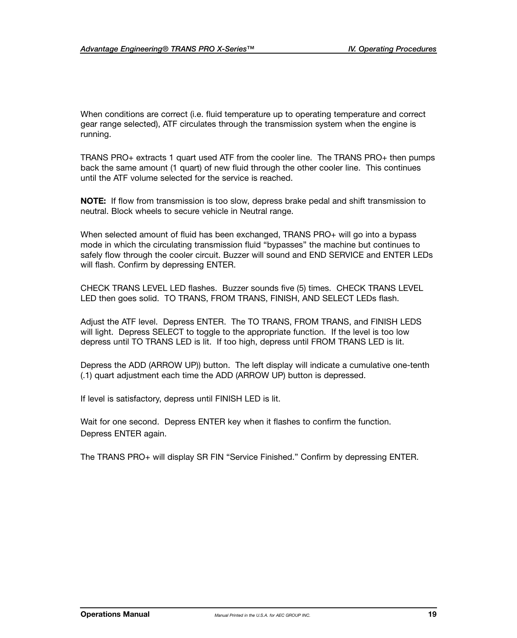When conditions are correct (i.e. fluid temperature up to operating temperature and correct gear range selected), ATF circulates through the transmission system when the engine is running.

TRANS PRO+ extracts 1 quart used ATF from the cooler line. The TRANS PRO+ then pumps back the same amount (1 quart) of new fluid through the other cooler line. This continues until the ATF volume selected for the service is reached.

**NOTE:** If flow from transmission is too slow, depress brake pedal and shift transmission to neutral. Block wheels to secure vehicle in Neutral range.

When selected amount of fluid has been exchanged, TRANS PRO+ will go into a bypass mode in which the circulating transmission fluid "bypasses" the machine but continues to safely flow through the cooler circuit. Buzzer will sound and END SERVICE and ENTER LEDs will flash. Confirm by depressing ENTER.

CHECK TRANS LEVEL LED flashes. Buzzer sounds five (5) times. CHECK TRANS LEVEL LED then goes solid. TO TRANS, FROM TRANS, FINISH, AND SELECT LEDs flash.

Adjust the ATF level. Depress ENTER. The TO TRANS, FROM TRANS, and FINISH LEDS will light. Depress SELECT to toggle to the appropriate function. If the level is too low depress until TO TRANS LED is lit. If too high, depress until FROM TRANS LED is lit.

Depress the ADD (ARROW UP)) button. The left display will indicate a cumulative one-tenth (.1) quart adjustment each time the ADD (ARROW UP) button is depressed.

If level is satisfactory, depress until FINISH LED is lit.

Wait for one second. Depress ENTER key when it flashes to confirm the function. Depress ENTER again.

The TRANS PRO+ will display SR FIN "Service Finished." Confirm by depressing ENTER.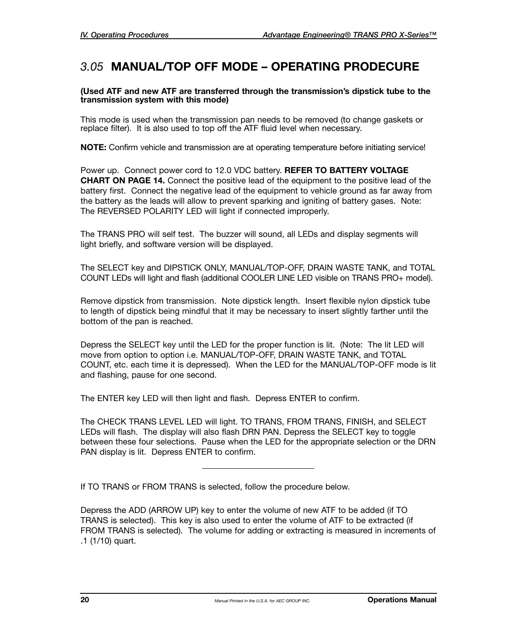#### *3.05* **MANUAL/TOP OFF MODE – OPERATING PRODECURE**

**(Used ATF and new ATF are transferred through the transmission's dipstick tube to the transmission system with this mode)**

This mode is used when the transmission pan needs to be removed (to change gaskets or replace filter). It is also used to top off the ATF fluid level when necessary.

**NOTE:** Confirm vehicle and transmission are at operating temperature before initiating service!

Power up. Connect power cord to 12.0 VDC battery. **REFER TO BATTERY VOLTAGE CHART ON PAGE 14.** Connect the positive lead of the equipment to the positive lead of the battery first. Connect the negative lead of the equipment to vehicle ground as far away from the battery as the leads will allow to prevent sparking and igniting of battery gases. Note: The REVERSED POLARITY LED will light if connected improperly.

The TRANS PRO will self test. The buzzer will sound, all LEDs and display segments will light briefly, and software version will be displayed.

The SELECT key and DIPSTICK ONLY, MANUAL/TOP-OFF, DRAIN WASTE TANK, and TOTAL COUNT LEDs will light and flash (additional COOLER LINE LED visible on TRANS PRO+ model).

Remove dipstick from transmission. Note dipstick length. Insert flexible nylon dipstick tube to length of dipstick being mindful that it may be necessary to insert slightly farther until the bottom of the pan is reached.

Depress the SELECT key until the LED for the proper function is lit. (Note: The lit LED will move from option to option i.e. MANUAL/TOP-OFF, DRAIN WASTE TANK, and TOTAL COUNT, etc. each time it is depressed). When the LED for the MANUAL/TOP-OFF mode is lit and flashing, pause for one second.

The ENTER key LED will then light and flash. Depress ENTER to confirm.

The CHECK TRANS LEVEL LED will light. TO TRANS, FROM TRANS, FINISH, and SELECT LEDs will flash. The display will also flash DRN PAN. Depress the SELECT key to toggle between these four selections. Pause when the LED for the appropriate selection or the DRN PAN display is lit. Depress ENTER to confirm.

If TO TRANS or FROM TRANS is selected, follow the procedure below.

Depress the ADD (ARROW UP) key to enter the volume of new ATF to be added (if TO TRANS is selected). This key is also used to enter the volume of ATF to be extracted (if FROM TRANS is selected). The volume for adding or extracting is measured in increments of .1 (1/10) quart.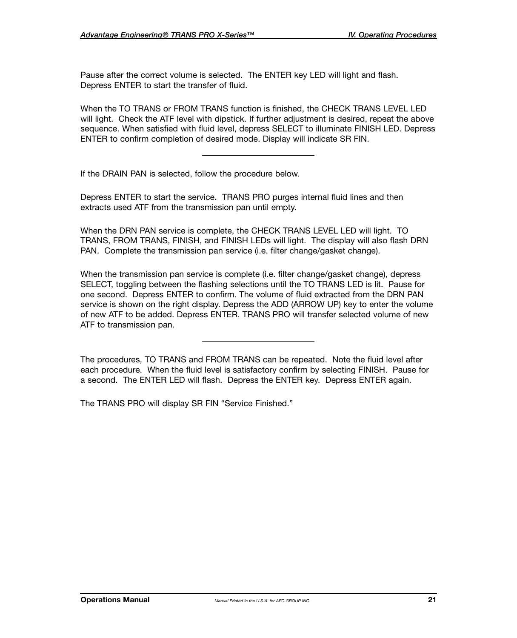Pause after the correct volume is selected. The ENTER key LED will light and flash. Depress ENTER to start the transfer of fluid.

When the TO TRANS or FROM TRANS function is finished, the CHECK TRANS LEVEL LED will light. Check the ATF level with dipstick. If further adjustment is desired, repeat the above sequence. When satisfied with fluid level, depress SELECT to illuminate FINISH LED. Depress ENTER to confirm completion of desired mode. Display will indicate SR FIN.

If the DRAIN PAN is selected, follow the procedure below.

Depress ENTER to start the service. TRANS PRO purges internal fluid lines and then extracts used ATF from the transmission pan until empty.

When the DRN PAN service is complete, the CHECK TRANS LEVEL LED will light. TO TRANS, FROM TRANS, FINISH, and FINISH LEDs will light. The display will also flash DRN PAN. Complete the transmission pan service (i.e. filter change/gasket change).

When the transmission pan service is complete (i.e. filter change/gasket change), depress SELECT, toggling between the flashing selections until the TO TRANS LED is lit. Pause for one second. Depress ENTER to confirm. The volume of fluid extracted from the DRN PAN service is shown on the right display. Depress the ADD (ARROW UP) key to enter the volume of new ATF to be added. Depress ENTER. TRANS PRO will transfer selected volume of new ATF to transmission pan.

The procedures, TO TRANS and FROM TRANS can be repeated. Note the fluid level after each procedure. When the fluid level is satisfactory confirm by selecting FINISH. Pause for a second. The ENTER LED will flash. Depress the ENTER key. Depress ENTER again.

The TRANS PRO will display SR FIN "Service Finished."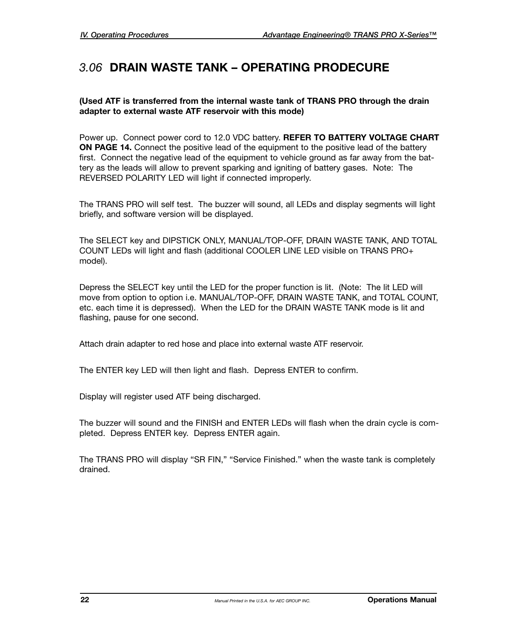#### *3.06* **DRAIN WASTE TANK – OPERATING PRODECURE**

#### **(Used ATF is transferred from the internal waste tank of TRANS PRO through the drain adapter to external waste ATF reservoir with this mode)**

Power up. Connect power cord to 12.0 VDC battery. **REFER TO BATTERY VOLTAGE CHART ON PAGE 14.** Connect the positive lead of the equipment to the positive lead of the battery first. Connect the negative lead of the equipment to vehicle ground as far away from the battery as the leads will allow to prevent sparking and igniting of battery gases. Note: The REVERSED POLARITY LED will light if connected improperly.

The TRANS PRO will self test. The buzzer will sound, all LEDs and display segments will light briefly, and software version will be displayed.

The SELECT key and DIPSTICK ONLY, MANUAL/TOP-OFF, DRAIN WASTE TANK, AND TOTAL COUNT LEDs will light and flash (additional COOLER LINE LED visible on TRANS PRO+ model).

Depress the SELECT key until the LED for the proper function is lit. (Note: The lit LED will move from option to option i.e. MANUAL/TOP-OFF, DRAIN WASTE TANK, and TOTAL COUNT, etc. each time it is depressed). When the LED for the DRAIN WASTE TANK mode is lit and flashing, pause for one second.

Attach drain adapter to red hose and place into external waste ATF reservoir.

The ENTER key LED will then light and flash. Depress ENTER to confirm.

Display will register used ATF being discharged.

The buzzer will sound and the FINISH and ENTER LEDs will flash when the drain cycle is completed. Depress ENTER key. Depress ENTER again.

The TRANS PRO will display "SR FIN," "Service Finished." when the waste tank is completely drained.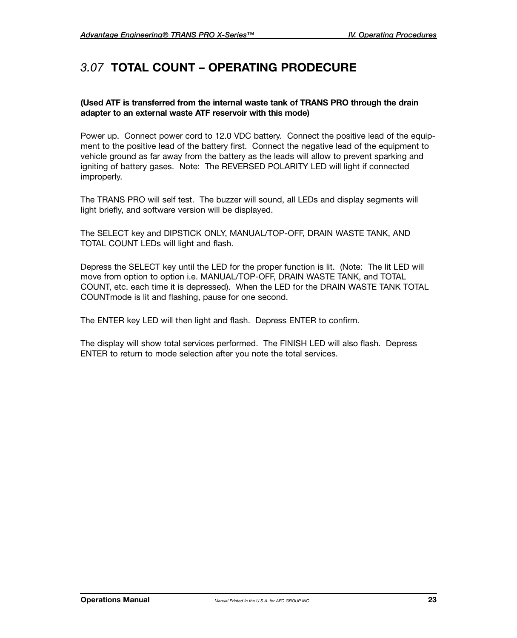#### *3.07* **TOTAL COUNT – OPERATING PRODECURE**

#### **(Used ATF is transferred from the internal waste tank of TRANS PRO through the drain adapter to an external waste ATF reservoir with this mode)**

Power up. Connect power cord to 12.0 VDC battery. Connect the positive lead of the equipment to the positive lead of the battery first. Connect the negative lead of the equipment to vehicle ground as far away from the battery as the leads will allow to prevent sparking and igniting of battery gases. Note: The REVERSED POLARITY LED will light if connected improperly.

The TRANS PRO will self test. The buzzer will sound, all LEDs and display segments will light briefly, and software version will be displayed.

The SELECT key and DIPSTICK ONLY, MANUAL/TOP-OFF, DRAIN WASTE TANK, AND TOTAL COUNT LEDs will light and flash.

Depress the SELECT key until the LED for the proper function is lit. (Note: The lit LED will move from option to option i.e. MANUAL/TOP-OFF, DRAIN WASTE TANK, and TOTAL COUNT, etc. each time it is depressed). When the LED for the DRAIN WASTE TANK TOTAL COUNTmode is lit and flashing, pause for one second.

The ENTER key LED will then light and flash. Depress ENTER to confirm.

The display will show total services performed. The FINISH LED will also flash. Depress ENTER to return to mode selection after you note the total services.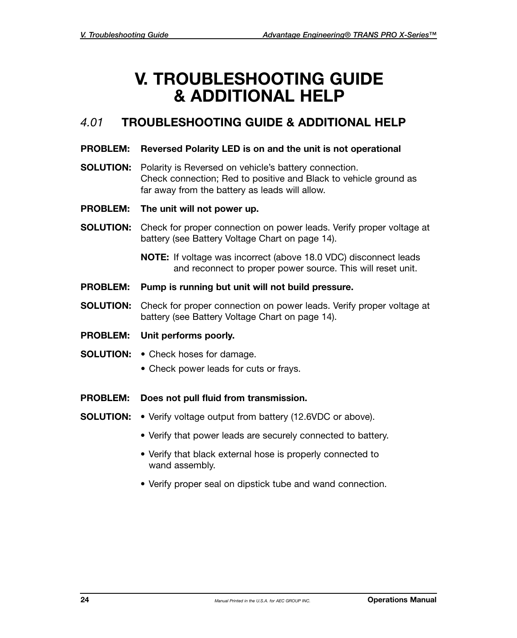## **V. TROUBLESHOOTING GUIDE & ADDITIONAL HELP**

#### *4.01* **TROUBLESHOOTING GUIDE & ADDITIONAL HELP**

#### **PROBLEM: Reversed Polarity LED is on and the unit is not operational**

- **SOLUTION:** Polarity is Reversed on vehicle's battery connection. Check connection; Red to positive and Black to vehicle ground as far away from the battery as leads will allow.
- **PROBLEM: The unit will not power up.**
- **SOLUTION:** Check for proper connection on power leads. Verify proper voltage at battery (see Battery Voltage Chart on page 14).

**NOTE:** If voltage was incorrect (above 18.0 VDC) disconnect leads and reconnect to proper power source. This will reset unit.

- **PROBLEM: Pump is running but unit will not build pressure.**
- **SOLUTION:** Check for proper connection on power leads. Verify proper voltage at battery (see Battery Voltage Chart on page 14).
- **PROBLEM: Unit performs poorly.**
- **SOLUTION:** Check hoses for damage.
	- Check power leads for cuts or frays.
- **PROBLEM: Does not pull fluid from transmission.**
- **SOLUTION:** Verify voltage output from battery (12.6VDC or above).
	- Verify that power leads are securely connected to battery.
	- Verify that black external hose is properly connected to wand assembly.
	- Verify proper seal on dipstick tube and wand connection.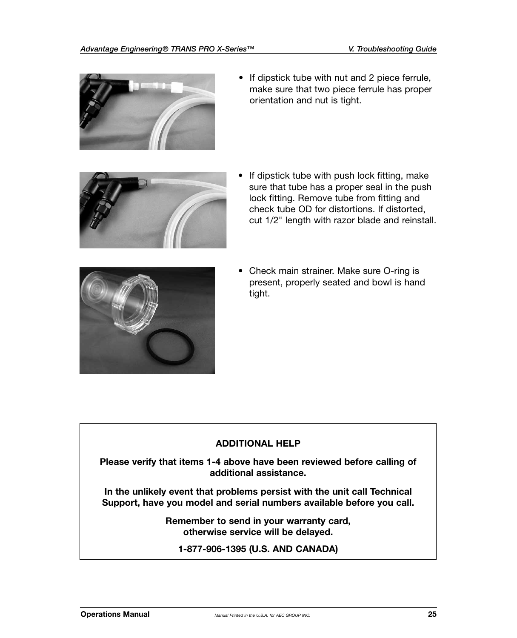

• If dipstick tube with nut and 2 piece ferrule, make sure that two piece ferrule has proper orientation and nut is tight.



• If dipstick tube with push lock fitting, make sure that tube has a proper seal in the push lock fitting. Remove tube from fitting and check tube OD for distortions. If distorted, cut 1/2" length with razor blade and reinstall.



• Check main strainer. Make sure O-ring is present, properly seated and bowl is hand tight.

#### **ADDITIONAL HELP**

**Please verify that items 1-4 above have been reviewed before calling of additional assistance.**

**In the unlikely event that problems persist with the unit call Technical Support, have you model and serial numbers available before you call.** 

> **Remember to send in your warranty card, otherwise service will be delayed.**

**1-877-906-1395 (U.S. AND CANADA)**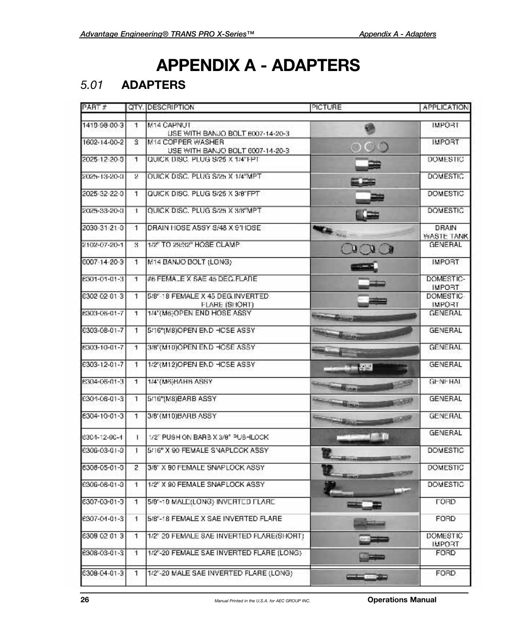## **APPENDIX A - ADAPTERS**

#### *5.01* **ADAPTERS**

| PART #        |                | QTY. DESCRIPTION                                       | PICTURE                                                                                                                                                                                                                                          | APPLICATION                  |
|---------------|----------------|--------------------------------------------------------|--------------------------------------------------------------------------------------------------------------------------------------------------------------------------------------------------------------------------------------------------|------------------------------|
| 1419-98-00-3  | 1              | M14 CAPNUT                                             |                                                                                                                                                                                                                                                  | <b>IMPORT</b>                |
|               |                | LISE WITH BANJO BOLT 6007-14-20-3                      |                                                                                                                                                                                                                                                  |                              |
| 1602-14-00-2  | s              | M14 COPPER WASHER<br>USE WITH BANJO BOLT 6007-14-20-3. | $\rm{OO}$                                                                                                                                                                                                                                        | <b>IMPORT</b>                |
| 2025-12-20-0  | 1              | QUICK DISC. PLUG S/25 X 1/4"FPT.                       |                                                                                                                                                                                                                                                  | <b>DOMESTIC</b>              |
| 2025-13-20-11 | 2              | OUICK DISC. PLUG S/25 X 1/4"MPT.                       |                                                                                                                                                                                                                                                  | <b>DOMESTIC</b>              |
| 2025-32-22-0  | $\mathbf{I}$   | QUICK DISC. PLUG S/25 X 3/8"FPT                        |                                                                                                                                                                                                                                                  | <b>DOMESTIC</b>              |
| 2025-33-20-0  | Э.             | QUICK DISC. PLUG S/25 X 3/8"MPT                        | تتكلأ                                                                                                                                                                                                                                            | <b>DOMESTIC</b>              |
| 2030-31-21-0  | 1              | DRAIN HOSE ASSY S/48 X 9 HOSE.                         |                                                                                                                                                                                                                                                  | DRAIN                        |
| 2102-07-20-1  | 8.             | 1/2" TO 29/32" HOSE CLAMP                              |                                                                                                                                                                                                                                                  | WASTE TANK<br><b>GENERAL</b> |
|               |                |                                                        | $O$ $O$                                                                                                                                                                                                                                          |                              |
| CO07-14-20-3  | 1.             | M14 BANJO BOLT (LONG)                                  |                                                                                                                                                                                                                                                  | <b>IMPORT</b>                |
| 6301-01-01-3  | 1.             | #6 FEMALE X SAE 45 DEC.FLARE                           |                                                                                                                                                                                                                                                  | DOMESTIC-<br><b>IMPORT</b>   |
| 6302-02-01-3  | 1.             | 5/8"-18 FEMALE X 45 DEG. INVERTED                      |                                                                                                                                                                                                                                                  | <b>DOMESTIC-</b>             |
|               |                | FLARE (SHOHT)                                          |                                                                                                                                                                                                                                                  | <b>IMPORT</b>                |
| 6303-06-01-7  | 1              | 1/4"(M6)OPEN END HOSE ASSY                             | <b><i><u>Contract Contract Contract Contract Contract Contract Contract Contract Contract Contract Contract Contract Contract Contract Contract Contract Contract Contract Contract Contract Contract Contract Contract Contract Con</u></i></b> | <b>GENERAL</b>               |
| E303-08-01-7  | 1              | 5/16"(M8)OPEN END HOSE ASSY                            |                                                                                                                                                                                                                                                  | <b>GENERAL</b>               |
| 6303-10-01-7  | 1              | 3/8"(M10)OPEN END HOSE ASSY                            |                                                                                                                                                                                                                                                  | GENERAL                      |
| E303-12-01-7  | 1.             | 1/2"(M12)OPEN END HOSE ASSY                            | $1 - 2$                                                                                                                                                                                                                                          | <b>GENERAL</b>               |
| 6304-06-01-3  | 1              | 1/4"(M6)BAHB ASSY                                      |                                                                                                                                                                                                                                                  | GENEHAL                      |
| E304-08-01-3  | 1              | 5/16"(M8)EARB ASSY                                     | <b>SQUALIN</b>                                                                                                                                                                                                                                   | <b>GENERAL</b>               |
| 6304-10-01-3  | 1.             | 3/8"(M10)BARB ASSY                                     |                                                                                                                                                                                                                                                  | GENERAL                      |
| 6304-12-00-4  | L.             | 1/2" PUSH ON BARB X 3/8" PUSHLOCK.                     | <b>CONTRACTOR</b>                                                                                                                                                                                                                                | <b>GENERAL</b>               |
| £306-03-01-0  | 1.             | 5/16" X 90 FEMALE SNAPLCCK ASSY                        |                                                                                                                                                                                                                                                  | <b>DOMESTIC</b>              |
| 6308-05-01-0  | $\overline{z}$ | 3/8" X 90 FEMALE SNAPLOCK ASSY                         |                                                                                                                                                                                                                                                  | <b>DOMESTIC</b>              |
| E306-08-01-0  | ч.             | 1/2" X 90 FEMALE SNAFLOCK ASSY                         |                                                                                                                                                                                                                                                  | <b>DOMESTIC</b>              |
| 6307-03-01-3  | 1              | 5/8"-10 MALE(LONG) INVERTED FLARE                      | ≖≖                                                                                                                                                                                                                                               | <b>TORD</b>                  |
| E307-04-01-3  | 1              | 5/8"-18 FEMALE X SAE INVERTED FLARE                    |                                                                                                                                                                                                                                                  | <b>FORD</b>                  |
| 6309 02 01 3  | 1.             | 1/2" 20 FEMALE SAE INVERTED FLARE(SHORT)               |                                                                                                                                                                                                                                                  | DOMESTIC                     |
|               |                |                                                        |                                                                                                                                                                                                                                                  | <b>IMPORT</b>                |
| E308-03-01-3  | 1              | 1/2"-20 FEMALE SAE INVERTED FLARE (LONG).              | 居場                                                                                                                                                                                                                                               | <b>FORD</b>                  |
| C308-C4-01-3  | 1.             | 1/2"-20 MALE SAE INVERTED FLARE (LONG)                 |                                                                                                                                                                                                                                                  | FORD.                        |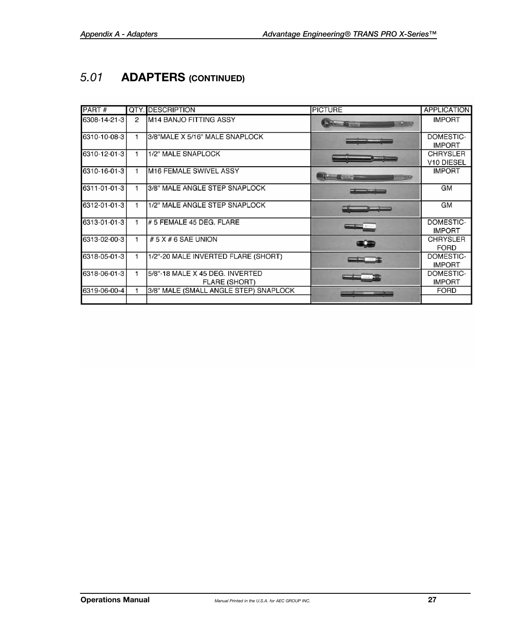### *5.01* **ADAPTERS (CONTINUED)**

| PART#        | QTY.          | <b>DESCRIPTION</b>                                      | <b>PICTURE</b>                                        | <b>APPLICATION</b>                        |
|--------------|---------------|---------------------------------------------------------|-------------------------------------------------------|-------------------------------------------|
| 6308-14-21-3 | $\mathcal{P}$ | M14 BANJO FITTING ASSY                                  | <b>MARKET BEEFINDERS</b><br>$-20.07$                  | <b>IMPORT</b>                             |
| 6310-10-08-3 |               | 3/8"MALE X 5/16" MALE SNAPLOCK                          |                                                       | DOMESTIC-<br><b>IMPORT</b>                |
| 6310-12-01-3 | 1             | 1/2" MALE SNAPLOCK                                      |                                                       | <b>CHRYSLER</b><br>V <sub>10</sub> DIESEL |
| 6310-16-01-3 |               | <b>M16 FEMALE SWIVEL ASSY</b>                           | $\frac{1}{2}$ (a) $\frac{1}{2}$ (a) (b) $\frac{1}{2}$ | <b>IMPORT</b>                             |
| 6311-01-01-3 |               | 3/8" MALE ANGLE STEP SNAPLOCK                           | كاكت كالمنابذ                                         | GM                                        |
| 6312-01-01-3 |               | 1/2" MALE ANGLE STEP SNAPLOCK                           |                                                       | <b>GM</b>                                 |
| 6313-01-01-3 |               | # 5 FEMALE 45 DEG. FLARE                                | $-$ 0.0 $-$                                           | DOMESTIC-<br><b>IMPORT</b>                |
| 6313-02-00-3 | 1             | # 5 $X$ # 6 SAE UNION                                   | <b>GLE</b>                                            | <b>CHRYSLER</b><br><b>FORD</b>            |
| 6318-05-01-3 | 1             | 1/2"-20 MALE INVERTED FLARE (SHORT)                     |                                                       | DOMESTIC-<br><b>IMPORT</b>                |
| 6318-06-01-3 |               | 5/8"-18 MALE X 45 DEG. INVERTED<br><b>FLARE (SHORT)</b> |                                                       | DOMESTIC-<br><b>IMPORT</b>                |
| 6319-06-00-4 |               | 3/8" MALE (SMALL ANGLE STEP) SNAPLOCK                   |                                                       | <b>FORD</b>                               |
|              |               |                                                         |                                                       |                                           |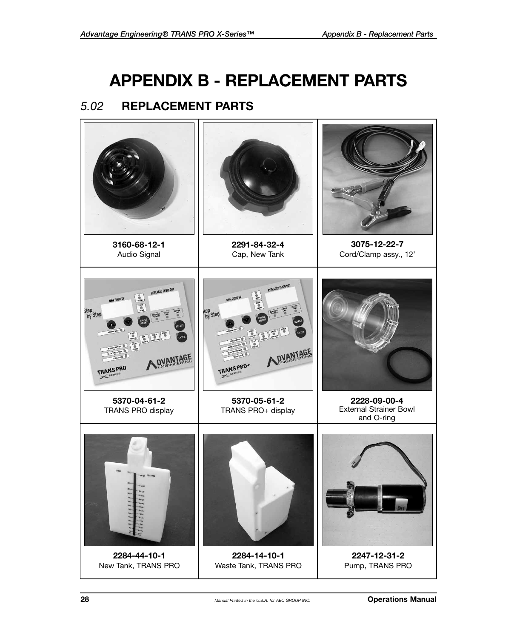## **APPENDIX B - REPLACEMENT PARTS**

#### *5.02* **REPLACEMENT PARTS**

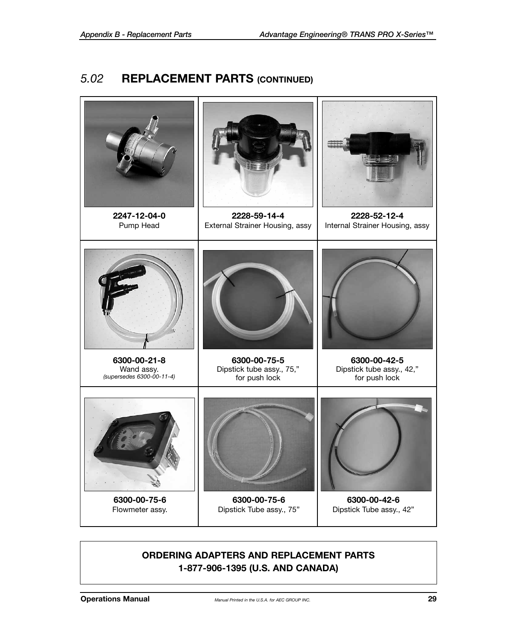#### *5.02* **REPLACEMENT PARTS (CONTINUED)**



#### **ORDERING ADAPTERS AND REPLACEMENT PARTS 1-877-906-1395 (U.S. AND CANADA)**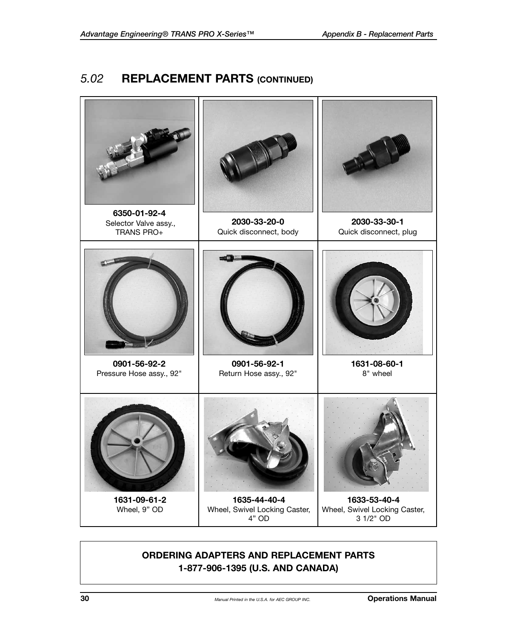#### *5.02* **REPLACEMENT PARTS (CONTINUED)**



#### **ORDERING ADAPTERS AND REPLACEMENT PARTS 1-877-906-1395 (U.S. AND CANADA)**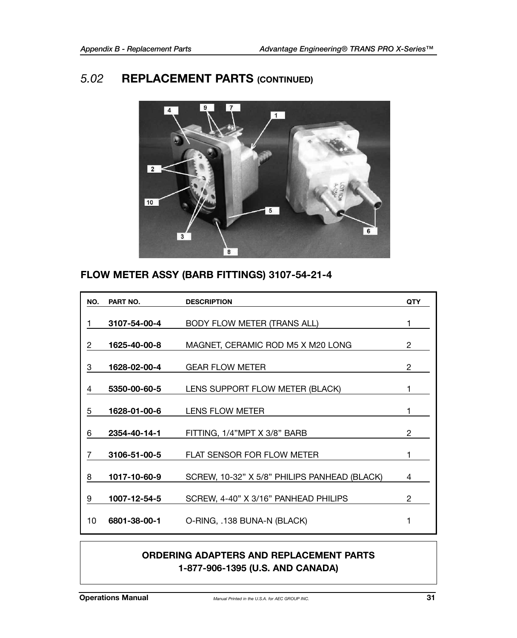#### *5.02* **REPLACEMENT PARTS (CONTINUED)**



#### **FLOW METER ASSY (BARB FITTINGS) 3107-54-21-4**

| NO. | PART NO.     | <b>DESCRIPTION</b>                           | <b>QTY</b>     |
|-----|--------------|----------------------------------------------|----------------|
|     | 3107-54-00-4 | BODY FLOW METER (TRANS ALL)                  | 1              |
| 2   | 1625-40-00-8 | MAGNET, CERAMIC ROD M5 X M20 LONG            | 2              |
| 3   | 1628-02-00-4 | <b>GEAR FLOW METER</b>                       | $\overline{2}$ |
| 4   | 5350-00-60-5 | LENS SUPPORT FLOW METER (BLACK)              |                |
| 5   | 1628-01-00-6 | LENS FLOW METER                              | 1              |
| 6   | 2354-40-14-1 | FITTING, 1/4"MPT X 3/8" BARB                 | 2              |
| 7   | 3106-51-00-5 | FLAT SENSOR FOR FLOW METER                   | 1              |
| 8   | 1017-10-60-9 | SCREW, 10-32" X 5/8" PHILIPS PANHEAD (BLACK) | 4              |
| 9   | 1007-12-54-5 | SCREW, 4-40" X 3/16" PANHEAD PHILIPS         | 2              |
| 10  | 6801-38-00-1 | O-RING, .138 BUNA-N (BLACK)                  | 1              |

#### **ORDERING ADAPTERS AND REPLACEMENT PARTS 1-877-906-1395 (U.S. AND CANADA)**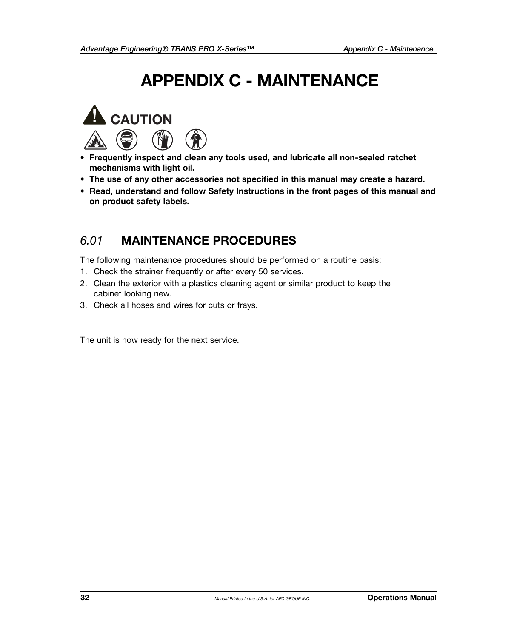## **APPENDIX C - MAINTENANCE**



- **Frequently inspect and clean any tools used, and lubricate all non-sealed ratchet mechanisms with light oil.**
- **• The use of any other accessories not specified in this manual may create a hazard.**
- **Read, understand and follow Safety Instructions in the front pages of this manual and on product safety labels.**

#### *6.01* **MAINTENANCE PROCEDURES**

The following maintenance procedures should be performed on a routine basis:

- 1. Check the strainer frequently or after every 50 services.
- 2. Clean the exterior with a plastics cleaning agent or similar product to keep the cabinet looking new.
- 3. Check all hoses and wires for cuts or frays.

The unit is now ready for the next service.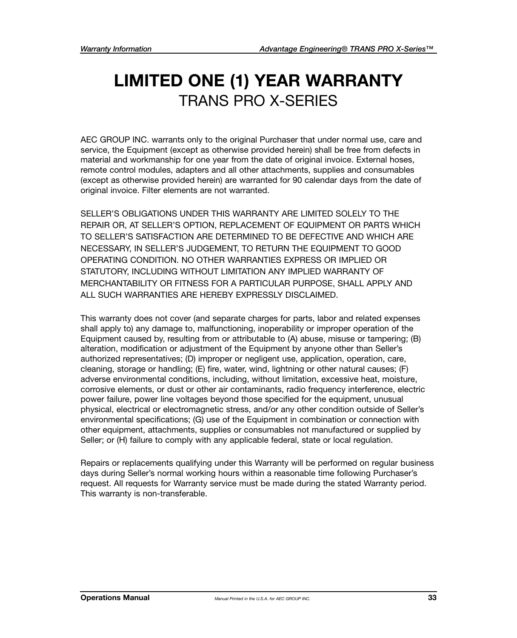## **LIMITED ONE (1) YEAR WARRANTY** TRANS PRO X-SERIES

AEC GROUP INC. warrants only to the original Purchaser that under normal use, care and service, the Equipment (except as otherwise provided herein) shall be free from defects in material and workmanship for one year from the date of original invoice. External hoses, remote control modules, adapters and all other attachments, supplies and consumables (except as otherwise provided herein) are warranted for 90 calendar days from the date of original invoice. Filter elements are not warranted.

SELLER'S OBLIGATIONS UNDER THIS WARRANTY ARE LIMITED SOLELY TO THE REPAIR OR, AT SELLER'S OPTION, REPLACEMENT OF EQUIPMENT OR PARTS WHICH TO SELLER'S SATISFACTION ARE DETERMINED TO BE DEFECTIVE AND WHICH ARE NECESSARY, IN SELLER'S JUDGEMENT, TO RETURN THE EQUIPMENT TO GOOD OPERATING CONDITION. NO OTHER WARRANTIES EXPRESS OR IMPLIED OR STATUTORY, INCLUDING WITHOUT LIMITATION ANY IMPLIED WARRANTY OF MERCHANTABILITY OR FITNESS FOR A PARTICULAR PURPOSE, SHALL APPLY AND ALL SUCH WARRANTIES ARE HEREBY EXPRESSLY DISCLAIMED.

This warranty does not cover (and separate charges for parts, labor and related expenses shall apply to) any damage to, malfunctioning, inoperability or improper operation of the Equipment caused by, resulting from or attributable to (A) abuse, misuse or tampering; (B) alteration, modification or adjustment of the Equipment by anyone other than Seller's authorized representatives; (D) improper or negligent use, application, operation, care, cleaning, storage or handling; (E) fire, water, wind, lightning or other natural causes; (F) adverse environmental conditions, including, without limitation, excessive heat, moisture, corrosive elements, or dust or other air contaminants, radio frequency interference, electric power failure, power line voltages beyond those specified for the equipment, unusual physical, electrical or electromagnetic stress, and/or any other condition outside of Seller's environmental specifications; (G) use of the Equipment in combination or connection with other equipment, attachments, supplies or consumables not manufactured or supplied by Seller; or (H) failure to comply with any applicable federal, state or local regulation.

Repairs or replacements qualifying under this Warranty will be performed on regular business days during Seller's normal working hours within a reasonable time following Purchaser's request. All requests for Warranty service must be made during the stated Warranty period. This warranty is non-transferable.